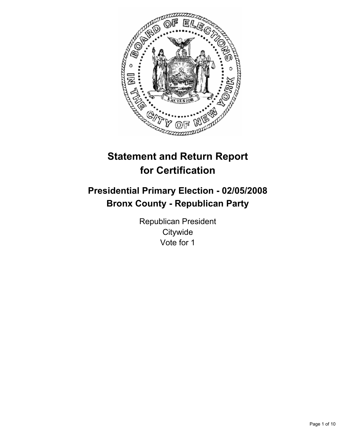

# **Statement and Return Report for Certification**

# **Presidential Primary Election - 02/05/2008 Bronx County - Republican Party**

Republican President **Citywide** Vote for 1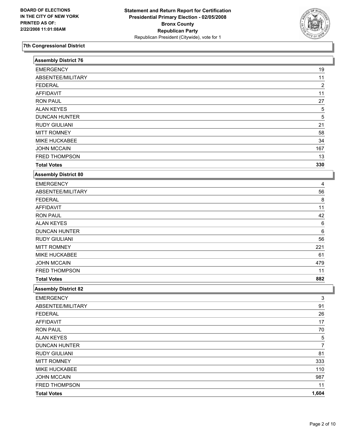

| <b>Assembly District 76</b> |                  |
|-----------------------------|------------------|
| <b>EMERGENCY</b>            | 19               |
| ABSENTEE/MILITARY           | 11               |
| <b>FEDERAL</b>              | $\boldsymbol{2}$ |
| <b>AFFIDAVIT</b>            | 11               |
| <b>RON PAUL</b>             | 27               |
| <b>ALAN KEYES</b>           | 5                |
| <b>DUNCAN HUNTER</b>        | 5                |
| <b>RUDY GIULIANI</b>        | 21               |
| <b>MITT ROMNEY</b>          | 58               |
| MIKE HUCKABEE               | 34               |
| <b>JOHN MCCAIN</b>          | 167              |
| FRED THOMPSON               | 13               |
| <b>Total Votes</b>          | 330              |
| <b>Assembly District 80</b> |                  |
| <b>EMERGENCY</b>            | 4                |
| ABSENTEE/MILITARY           | 56               |
| <b>FEDERAL</b>              | 8                |
| <b>AFFIDAVIT</b>            | 11               |
| <b>RON PAUL</b>             | 42               |
| <b>ALAN KEYES</b>           | 6                |
| <b>DUNCAN HUNTER</b>        | $\,6$            |
| <b>RUDY GIULIANI</b>        | 56               |
| <b>MITT ROMNEY</b>          | 221              |
| MIKE HUCKABEE               | 61               |
| <b>JOHN MCCAIN</b>          | 479              |
| FRED THOMPSON               | 11               |
| <b>Total Votes</b>          | 882              |
| <b>Assembly District 82</b> |                  |
| <b>EMERGENCY</b>            | 3                |
| ABSENTEE/MILITARY           | 91               |
| <b>FEDERAL</b>              | 26               |
| <b>AFFIDAVIT</b>            | 17               |
| <b>RON PAUL</b>             | 70               |
| <b>ALAN KEYES</b>           | $\frac{5}{7}$    |
| <b>DUNCAN HUNTER</b>        |                  |
| <b>RUDY GIULIANI</b>        | 81               |
| <b>MITT ROMNEY</b>          | 333              |
| MIKE HUCKABEE               | 110              |
| <b>JOHN MCCAIN</b>          | 987              |
| FRED THOMPSON               | 11               |
| <b>Total Votes</b>          | 1,604            |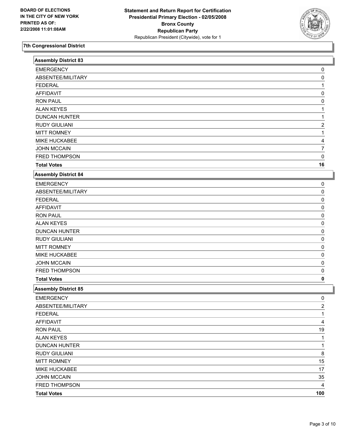

| <b>Assembly District 83</b> |                |
|-----------------------------|----------------|
| <b>EMERGENCY</b>            | 0              |
| ABSENTEE/MILITARY           | 0              |
| <b>FEDERAL</b>              |                |
| <b>AFFIDAVIT</b>            | 0              |
| <b>RON PAUL</b>             | 0              |
| <b>ALAN KEYES</b>           |                |
| <b>DUNCAN HUNTER</b>        |                |
| <b>RUDY GIULIANI</b>        | 2              |
| <b>MITT ROMNEY</b>          |                |
| <b>MIKE HUCKABEE</b>        |                |
| <b>JOHN MCCAIN</b>          | 7              |
| FRED THOMPSON               | 0              |
| <b>Total Votes</b>          | 16             |
| <b>Assembly District 84</b> |                |
| <b>EMERGENCY</b>            | 0              |
| ABSENTEE/MILITARY           | 0              |
| <b>FEDERAL</b>              | 0              |
| <b>AFFIDAVIT</b>            | 0              |
| <b>RON PAUL</b>             | 0              |
| <b>ALAN KEYES</b>           | 0              |
| <b>DUNCAN HUNTER</b>        | 0              |
| <b>RUDY GIULIANI</b>        | 0              |
| <b>MITT ROMNEY</b>          | 0              |
| MIKE HUCKABEE               | 0              |
| <b>JOHN MCCAIN</b>          | 0              |
| FRED THOMPSON               | 0              |
| <b>Total Votes</b>          | 0              |
| <b>Assembly District 85</b> |                |
| <b>EMERGENCY</b>            | 0              |
| ABSENTEE/MILITARY           | $\overline{c}$ |
| <b>FEDERAL</b>              | 1              |
| <b>AFFIDAVIT</b>            | 4              |
| <b>RON PAUL</b>             | 19             |
| <b>ALAN KEYES</b>           | 1              |
| <b>DUNCAN HUNTER</b>        | 1              |
| <b>RUDY GIULIANI</b>        | 8              |
| <b>MITT ROMNEY</b>          | 15             |
| MIKE HUCKABEE               | 17             |
| <b>JOHN MCCAIN</b>          | 35             |
| FRED THOMPSON               | 4              |
| <b>Total Votes</b>          | 100            |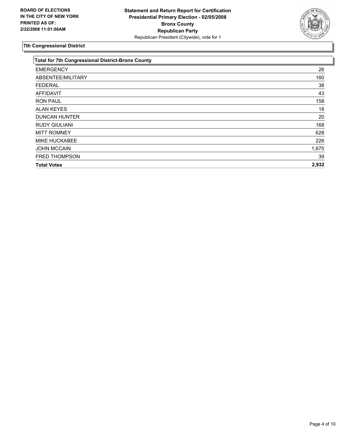

| <b>Total for 7th Congressional District-Bronx County</b> |  |
|----------------------------------------------------------|--|
| 26                                                       |  |
| 160                                                      |  |
| 38                                                       |  |
| 43                                                       |  |
| 158                                                      |  |
| 18                                                       |  |
| 20                                                       |  |
| 168                                                      |  |
| 628                                                      |  |
| 226                                                      |  |
| 1,675                                                    |  |
| 39                                                       |  |
| 2,932                                                    |  |
|                                                          |  |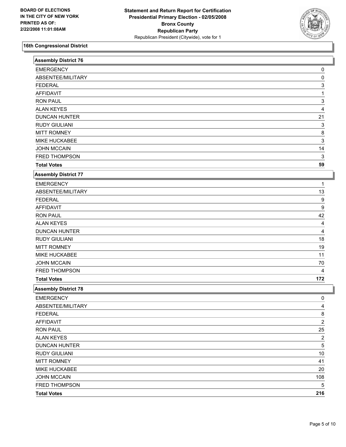

| <b>Assembly District 76</b> |                         |  |
|-----------------------------|-------------------------|--|
| <b>EMERGENCY</b>            | 0                       |  |
| ABSENTEE/MILITARY           | 0                       |  |
| <b>FEDERAL</b>              | 3                       |  |
| <b>AFFIDAVIT</b>            |                         |  |
| <b>RON PAUL</b>             | 3                       |  |
| <b>ALAN KEYES</b>           | 4                       |  |
| <b>DUNCAN HUNTER</b>        | 21                      |  |
| <b>RUDY GIULIANI</b>        | 3                       |  |
| <b>MITT ROMNEY</b>          | 8                       |  |
| MIKE HUCKABEE               | 3                       |  |
| <b>JOHN MCCAIN</b>          | 14                      |  |
| FRED THOMPSON               | 3                       |  |
| <b>Total Votes</b>          | 59                      |  |
| <b>Assembly District 77</b> |                         |  |
| <b>EMERGENCY</b>            |                         |  |
| ABSENTEE/MILITARY           | 13                      |  |
| <b>FEDERAL</b>              | 9                       |  |
| <b>AFFIDAVIT</b>            | 9                       |  |
| <b>RON PAUL</b>             | 42                      |  |
| <b>ALAN KEYES</b>           |                         |  |
| <b>DUNCAN HUNTER</b>        | 4                       |  |
| <b>RUDY GIULIANI</b>        | 18                      |  |
| <b>MITT ROMNEY</b>          | 19                      |  |
| MIKE HUCKABEE               | 11                      |  |
| <b>JOHN MCCAIN</b>          | 70                      |  |
| FRED THOMPSON               | 4                       |  |
| <b>Total Votes</b>          | 172                     |  |
| <b>Assembly District 78</b> |                         |  |
| <b>EMERGENCY</b>            | 0                       |  |
| ABSENTEE/MILITARY           | 4                       |  |
| <b>FEDERAL</b>              | $\frac{8}{1}$           |  |
| <b>AFFIDAVIT</b>            | $\overline{\mathbf{c}}$ |  |
| <b>RON PAUL</b>             | $25\,$                  |  |
| <b>ALAN KEYES</b>           | $\overline{\mathbf{c}}$ |  |
| <b>DUNCAN HUNTER</b>        | 5                       |  |
| <b>RUDY GIULIANI</b>        | $10$                    |  |
| <b>MITT ROMNEY</b>          | 41                      |  |
| MIKE HUCKABEE               | 20                      |  |
| <b>JOHN MCCAIN</b>          | 108                     |  |
| FRED THOMPSON               | 5                       |  |
| <b>Total Votes</b>          | 216                     |  |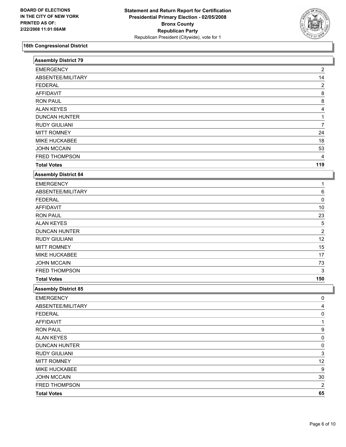

| <b>EMERGENCY</b><br>2<br>14<br>ABSENTEE/MILITARY<br>$\overline{\mathbf{c}}$<br><b>FEDERAL</b><br><b>AFFIDAVIT</b><br>8<br><b>RON PAUL</b><br>8<br><b>ALAN KEYES</b><br>4<br><b>DUNCAN HUNTER</b><br><b>RUDY GIULIANI</b><br>7<br><b>MITT ROMNEY</b><br>24<br>MIKE HUCKABEE<br>18<br><b>JOHN MCCAIN</b><br>53<br>FRED THOMPSON<br>4<br>119<br><b>Total Votes</b><br><b>Assembly District 84</b><br><b>EMERGENCY</b><br>ABSENTEE/MILITARY<br>6<br><b>FEDERAL</b><br>0<br><b>AFFIDAVIT</b><br>$10$<br><b>RON PAUL</b><br>23<br><b>ALAN KEYES</b><br>5<br>$\overline{2}$<br><b>DUNCAN HUNTER</b><br><b>RUDY GIULIANI</b><br>12<br><b>MITT ROMNEY</b><br>15<br>MIKE HUCKABEE<br>17<br><b>JOHN MCCAIN</b><br>73<br>FRED THOMPSON<br>3<br>150<br><b>Total Votes</b><br><b>Assembly District 85</b><br><b>EMERGENCY</b><br>0<br>ABSENTEE/MILITARY<br>4<br><b>FEDERAL</b><br>0<br><b>AFFIDAVIT</b><br>1<br>9<br><b>RON PAUL</b><br>0<br><b>ALAN KEYES</b><br>0<br><b>DUNCAN HUNTER</b><br>3<br><b>RUDY GIULIANI</b><br><b>MITT ROMNEY</b><br>12<br>MIKE HUCKABEE<br>9<br>$30\,$<br><b>JOHN MCCAIN</b><br>$\overline{\mathbf{c}}$<br>FRED THOMPSON<br>65<br><b>Total Votes</b> | <b>Assembly District 79</b> |  |
|----------------------------------------------------------------------------------------------------------------------------------------------------------------------------------------------------------------------------------------------------------------------------------------------------------------------------------------------------------------------------------------------------------------------------------------------------------------------------------------------------------------------------------------------------------------------------------------------------------------------------------------------------------------------------------------------------------------------------------------------------------------------------------------------------------------------------------------------------------------------------------------------------------------------------------------------------------------------------------------------------------------------------------------------------------------------------------------------------------------------------------------------------------------------|-----------------------------|--|
|                                                                                                                                                                                                                                                                                                                                                                                                                                                                                                                                                                                                                                                                                                                                                                                                                                                                                                                                                                                                                                                                                                                                                                      |                             |  |
|                                                                                                                                                                                                                                                                                                                                                                                                                                                                                                                                                                                                                                                                                                                                                                                                                                                                                                                                                                                                                                                                                                                                                                      |                             |  |
|                                                                                                                                                                                                                                                                                                                                                                                                                                                                                                                                                                                                                                                                                                                                                                                                                                                                                                                                                                                                                                                                                                                                                                      |                             |  |
|                                                                                                                                                                                                                                                                                                                                                                                                                                                                                                                                                                                                                                                                                                                                                                                                                                                                                                                                                                                                                                                                                                                                                                      |                             |  |
|                                                                                                                                                                                                                                                                                                                                                                                                                                                                                                                                                                                                                                                                                                                                                                                                                                                                                                                                                                                                                                                                                                                                                                      |                             |  |
|                                                                                                                                                                                                                                                                                                                                                                                                                                                                                                                                                                                                                                                                                                                                                                                                                                                                                                                                                                                                                                                                                                                                                                      |                             |  |
|                                                                                                                                                                                                                                                                                                                                                                                                                                                                                                                                                                                                                                                                                                                                                                                                                                                                                                                                                                                                                                                                                                                                                                      |                             |  |
|                                                                                                                                                                                                                                                                                                                                                                                                                                                                                                                                                                                                                                                                                                                                                                                                                                                                                                                                                                                                                                                                                                                                                                      |                             |  |
|                                                                                                                                                                                                                                                                                                                                                                                                                                                                                                                                                                                                                                                                                                                                                                                                                                                                                                                                                                                                                                                                                                                                                                      |                             |  |
|                                                                                                                                                                                                                                                                                                                                                                                                                                                                                                                                                                                                                                                                                                                                                                                                                                                                                                                                                                                                                                                                                                                                                                      |                             |  |
|                                                                                                                                                                                                                                                                                                                                                                                                                                                                                                                                                                                                                                                                                                                                                                                                                                                                                                                                                                                                                                                                                                                                                                      |                             |  |
|                                                                                                                                                                                                                                                                                                                                                                                                                                                                                                                                                                                                                                                                                                                                                                                                                                                                                                                                                                                                                                                                                                                                                                      |                             |  |
|                                                                                                                                                                                                                                                                                                                                                                                                                                                                                                                                                                                                                                                                                                                                                                                                                                                                                                                                                                                                                                                                                                                                                                      |                             |  |
|                                                                                                                                                                                                                                                                                                                                                                                                                                                                                                                                                                                                                                                                                                                                                                                                                                                                                                                                                                                                                                                                                                                                                                      |                             |  |
|                                                                                                                                                                                                                                                                                                                                                                                                                                                                                                                                                                                                                                                                                                                                                                                                                                                                                                                                                                                                                                                                                                                                                                      |                             |  |
|                                                                                                                                                                                                                                                                                                                                                                                                                                                                                                                                                                                                                                                                                                                                                                                                                                                                                                                                                                                                                                                                                                                                                                      |                             |  |
|                                                                                                                                                                                                                                                                                                                                                                                                                                                                                                                                                                                                                                                                                                                                                                                                                                                                                                                                                                                                                                                                                                                                                                      |                             |  |
|                                                                                                                                                                                                                                                                                                                                                                                                                                                                                                                                                                                                                                                                                                                                                                                                                                                                                                                                                                                                                                                                                                                                                                      |                             |  |
|                                                                                                                                                                                                                                                                                                                                                                                                                                                                                                                                                                                                                                                                                                                                                                                                                                                                                                                                                                                                                                                                                                                                                                      |                             |  |
|                                                                                                                                                                                                                                                                                                                                                                                                                                                                                                                                                                                                                                                                                                                                                                                                                                                                                                                                                                                                                                                                                                                                                                      |                             |  |
|                                                                                                                                                                                                                                                                                                                                                                                                                                                                                                                                                                                                                                                                                                                                                                                                                                                                                                                                                                                                                                                                                                                                                                      |                             |  |
|                                                                                                                                                                                                                                                                                                                                                                                                                                                                                                                                                                                                                                                                                                                                                                                                                                                                                                                                                                                                                                                                                                                                                                      |                             |  |
|                                                                                                                                                                                                                                                                                                                                                                                                                                                                                                                                                                                                                                                                                                                                                                                                                                                                                                                                                                                                                                                                                                                                                                      |                             |  |
|                                                                                                                                                                                                                                                                                                                                                                                                                                                                                                                                                                                                                                                                                                                                                                                                                                                                                                                                                                                                                                                                                                                                                                      |                             |  |
|                                                                                                                                                                                                                                                                                                                                                                                                                                                                                                                                                                                                                                                                                                                                                                                                                                                                                                                                                                                                                                                                                                                                                                      |                             |  |
|                                                                                                                                                                                                                                                                                                                                                                                                                                                                                                                                                                                                                                                                                                                                                                                                                                                                                                                                                                                                                                                                                                                                                                      |                             |  |
|                                                                                                                                                                                                                                                                                                                                                                                                                                                                                                                                                                                                                                                                                                                                                                                                                                                                                                                                                                                                                                                                                                                                                                      |                             |  |
|                                                                                                                                                                                                                                                                                                                                                                                                                                                                                                                                                                                                                                                                                                                                                                                                                                                                                                                                                                                                                                                                                                                                                                      |                             |  |
|                                                                                                                                                                                                                                                                                                                                                                                                                                                                                                                                                                                                                                                                                                                                                                                                                                                                                                                                                                                                                                                                                                                                                                      |                             |  |
|                                                                                                                                                                                                                                                                                                                                                                                                                                                                                                                                                                                                                                                                                                                                                                                                                                                                                                                                                                                                                                                                                                                                                                      |                             |  |
|                                                                                                                                                                                                                                                                                                                                                                                                                                                                                                                                                                                                                                                                                                                                                                                                                                                                                                                                                                                                                                                                                                                                                                      |                             |  |
|                                                                                                                                                                                                                                                                                                                                                                                                                                                                                                                                                                                                                                                                                                                                                                                                                                                                                                                                                                                                                                                                                                                                                                      |                             |  |
|                                                                                                                                                                                                                                                                                                                                                                                                                                                                                                                                                                                                                                                                                                                                                                                                                                                                                                                                                                                                                                                                                                                                                                      |                             |  |
|                                                                                                                                                                                                                                                                                                                                                                                                                                                                                                                                                                                                                                                                                                                                                                                                                                                                                                                                                                                                                                                                                                                                                                      |                             |  |
|                                                                                                                                                                                                                                                                                                                                                                                                                                                                                                                                                                                                                                                                                                                                                                                                                                                                                                                                                                                                                                                                                                                                                                      |                             |  |
|                                                                                                                                                                                                                                                                                                                                                                                                                                                                                                                                                                                                                                                                                                                                                                                                                                                                                                                                                                                                                                                                                                                                                                      |                             |  |
|                                                                                                                                                                                                                                                                                                                                                                                                                                                                                                                                                                                                                                                                                                                                                                                                                                                                                                                                                                                                                                                                                                                                                                      |                             |  |
|                                                                                                                                                                                                                                                                                                                                                                                                                                                                                                                                                                                                                                                                                                                                                                                                                                                                                                                                                                                                                                                                                                                                                                      |                             |  |
|                                                                                                                                                                                                                                                                                                                                                                                                                                                                                                                                                                                                                                                                                                                                                                                                                                                                                                                                                                                                                                                                                                                                                                      |                             |  |
|                                                                                                                                                                                                                                                                                                                                                                                                                                                                                                                                                                                                                                                                                                                                                                                                                                                                                                                                                                                                                                                                                                                                                                      |                             |  |
|                                                                                                                                                                                                                                                                                                                                                                                                                                                                                                                                                                                                                                                                                                                                                                                                                                                                                                                                                                                                                                                                                                                                                                      |                             |  |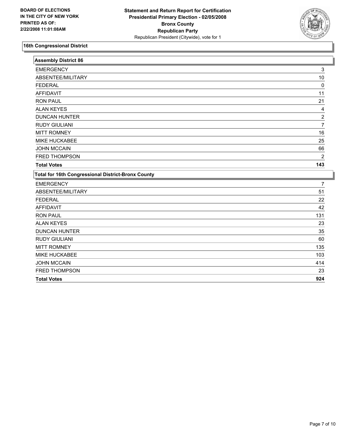

| <b>Assembly District 86</b>                        |                |
|----------------------------------------------------|----------------|
| <b>EMERGENCY</b>                                   | 3              |
| ABSENTEE/MILITARY                                  | 10             |
| <b>FEDERAL</b>                                     | 0              |
| <b>AFFIDAVIT</b>                                   | 11             |
| <b>RON PAUL</b>                                    | 21             |
| <b>ALAN KEYES</b>                                  | 4              |
| <b>DUNCAN HUNTER</b>                               | $\overline{c}$ |
| <b>RUDY GIULIANI</b>                               | $\overline{7}$ |
| <b>MITT ROMNEY</b>                                 | 16             |
| MIKE HUCKABEE                                      | 25             |
| <b>JOHN MCCAIN</b>                                 | 66             |
| FRED THOMPSON                                      | $\overline{c}$ |
| <b>Total Votes</b>                                 | 143            |
| Total for 16th Congressional District-Bronx County |                |
| <b>EMERGENCY</b>                                   | 7              |
| ABSENTEE/MILITARY                                  | 51             |
| <b>FEDERAL</b>                                     | 22             |
| <b>AFFIDAVIT</b>                                   | 42             |
| <b>RON PAUL</b>                                    | 131            |
| <b>ALAN KEYES</b>                                  | 23             |
| <b>DUNCAN HUNTER</b>                               | 35             |
| <b>RUDY GIULIANI</b>                               | 60             |
| <b>MITT ROMNEY</b>                                 | 135            |
| <b>MIKE HUCKABEE</b>                               | 103            |
| <b>JOHN MCCAIN</b>                                 | 414            |
| FRED THOMPSON                                      | 23             |
| <b>Total Votes</b>                                 | 924            |
|                                                    |                |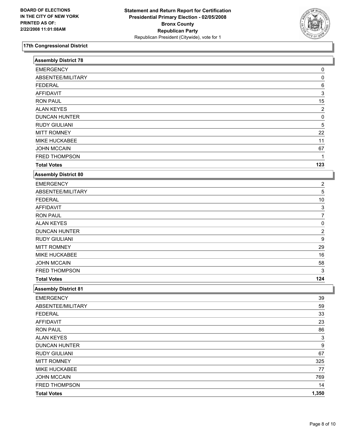

| <b>Assembly District 78</b> |                         |
|-----------------------------|-------------------------|
| <b>EMERGENCY</b>            | 0                       |
| ABSENTEE/MILITARY           | 0                       |
| <b>FEDERAL</b>              | 6                       |
| <b>AFFIDAVIT</b>            | 3                       |
| <b>RON PAUL</b>             | 15                      |
| <b>ALAN KEYES</b>           | $\overline{\mathbf{c}}$ |
| <b>DUNCAN HUNTER</b>        | 0                       |
| <b>RUDY GIULIANI</b>        | 5                       |
| <b>MITT ROMNEY</b>          | 22                      |
| MIKE HUCKABEE               | 11                      |
| <b>JOHN MCCAIN</b>          | 67                      |
| FRED THOMPSON               | 1                       |
| <b>Total Votes</b>          | 123                     |
| <b>Assembly District 80</b> |                         |
| <b>EMERGENCY</b>            | 2                       |
| ABSENTEE/MILITARY           | 5                       |
| <b>FEDERAL</b>              | $10$                    |
| <b>AFFIDAVIT</b>            | 3                       |
| <b>RON PAUL</b>             | 7                       |
| <b>ALAN KEYES</b>           | 0                       |
| <b>DUNCAN HUNTER</b>        | 2                       |
| <b>RUDY GIULIANI</b>        | 9                       |
| <b>MITT ROMNEY</b>          | 29                      |
| MIKE HUCKABEE               | 16                      |
| <b>JOHN MCCAIN</b>          | 58                      |
| FRED THOMPSON               | 3                       |
| <b>Total Votes</b>          | 124                     |
| <b>Assembly District 81</b> |                         |
| <b>EMERGENCY</b>            | 39                      |
| ABSENTEE/MILITARY           | 59                      |
| <b>FEDERAL</b>              | $33\,$                  |
| <b>AFFIDAVIT</b>            | 23                      |
| <b>RON PAUL</b>             | 86                      |
| <b>ALAN KEYES</b>           | $\overline{3}$          |
| <b>DUNCAN HUNTER</b>        | 9                       |
| <b>RUDY GIULIANI</b>        | 67                      |
| <b>MITT ROMNEY</b>          | 325                     |
| MIKE HUCKABEE               | 77                      |
| <b>JOHN MCCAIN</b>          | 769                     |
| FRED THOMPSON               | 14                      |
| <b>Total Votes</b>          | 1,350                   |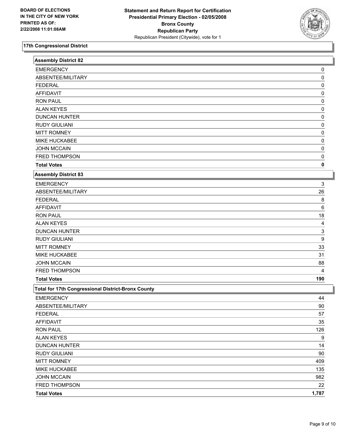

| <b>Assembly District 82</b>                        |       |
|----------------------------------------------------|-------|
| <b>EMERGENCY</b>                                   | 0     |
| ABSENTEE/MILITARY                                  | 0     |
| <b>FEDERAL</b>                                     | 0     |
| <b>AFFIDAVIT</b>                                   | 0     |
| <b>RON PAUL</b>                                    | 0     |
| <b>ALAN KEYES</b>                                  | 0     |
| <b>DUNCAN HUNTER</b>                               | 0     |
| <b>RUDY GIULIANI</b>                               | 0     |
| <b>MITT ROMNEY</b>                                 | 0     |
| MIKE HUCKABEE                                      | 0     |
| <b>JOHN MCCAIN</b>                                 | 0     |
| FRED THOMPSON                                      | 0     |
| <b>Total Votes</b>                                 | 0     |
| Assembly District 83                               |       |
| <b>EMERGENCY</b>                                   | 3     |
| ABSENTEE/MILITARY                                  | 26    |
| <b>FEDERAL</b>                                     | 8     |
| <b>AFFIDAVIT</b>                                   | 6     |
| <b>RON PAUL</b>                                    | 18    |
| <b>ALAN KEYES</b>                                  | 4     |
| <b>DUNCAN HUNTER</b>                               | 3     |
| <b>RUDY GIULIANI</b>                               | 9     |
| <b>MITT ROMNEY</b>                                 | 33    |
| MIKE HUCKABEE                                      | 31    |
| <b>JOHN MCCAIN</b>                                 | 88    |
| FRED THOMPSON                                      | 4     |
| <b>Total Votes</b>                                 | 190   |
| Total for 17th Congressional District-Bronx County |       |
| <b>EMERGENCY</b>                                   | 44    |
| ABSENTEE/MILITARY                                  | 90    |
| <b>FEDERAL</b>                                     | 57    |
| <b>AFFIDAVIT</b>                                   | 35    |
| <b>RON PAUL</b>                                    | 126   |
| <b>ALAN KEYES</b>                                  | 9     |
| <b>DUNCAN HUNTER</b>                               | 14    |
| <b>RUDY GIULIANI</b>                               | 90    |
| <b>MITT ROMNEY</b>                                 | 409   |
| MIKE HUCKABEE                                      | 135   |
| <b>JOHN MCCAIN</b>                                 | 982   |
| FRED THOMPSON                                      | 22    |
| <b>Total Votes</b>                                 | 1,787 |